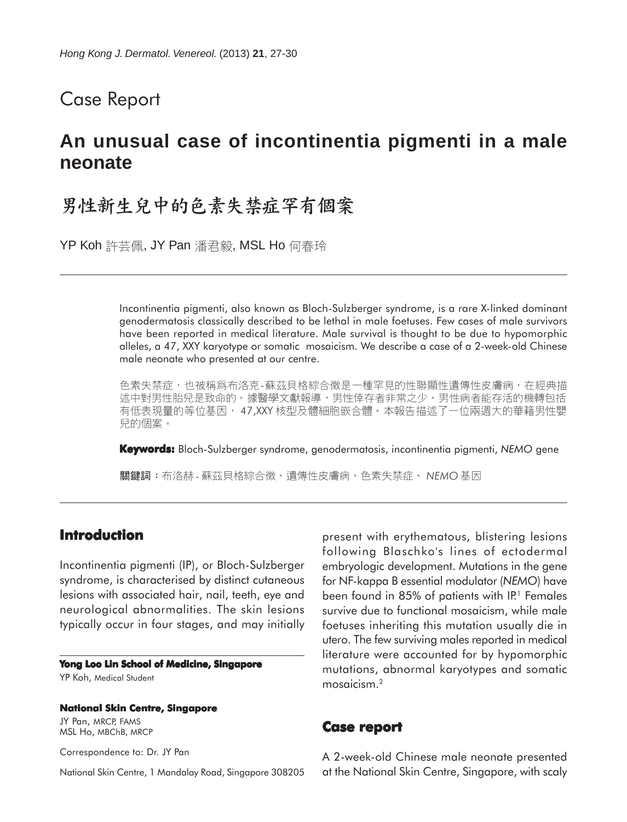## Case Report

# **An unusual case of incontinentia pigmenti in a male neonate**

# 男性新生兒中的色素失禁症罕有個案

YP Koh 許芸佩, JY Pan 潘君毅, MSL Ho 何春玲

Incontinentia pigmenti, also known as Bloch-Sulzberger syndrome, is a rare X-linked dominant genodermatosis classically described to be lethal in male foetuses. Few cases of male survivors have been reported in medical literature. Male survival is thought to be due to hypomorphic alleles, a 47, XXY karyotype or somatic mosaicism. We describe a case of a 2-week-old Chinese male neonate who presented at our centre.

色素失禁症,也被稱爲布洛克-蘇茲貝格綜合徵是一種罕見的性聯顯性遺傳性皮膚病,在經典描 述中對男性胎兒是致命的。據醫學文獻報導,男性倖存者非常之少。男性病者能存活的機轉包括 有低表現量的等位基因, 47,XXY 核型及體細胞嵌合體。本報告描述了一位兩週大的華籍男性嬰 兒的個案。

**Keywords:** Bloch-Sulzberger syndrome, genodermatosis, incontinentia pigmenti, *NEMO* gene

關鍵詞:布洛赫 - 蘇茲貝格綜合徵、遺傳性皮膚病、色素失禁症、 NEMO 基因

### **Introduction**

Incontinentia pigmenti (IP), or Bloch-Sulzberger syndrome, is characterised by distinct cutaneous lesions with associated hair, nail, teeth, eye and neurological abnormalities. The skin lesions typically occur in four stages, and may initially

#### **Yong Loo Lin School of Medicine, Singapore** YP Koh, Medical Student

**National Skin Centre, Singapore**

JY Pan, MRCP, FAMS MSL Ho, MBChB, MRCP

Correspondence to: Dr. JY Pan

National Skin Centre, 1 Mandalay Road, Singapore 308205

present with erythematous, blistering lesions following Blaschko's lines of ectodermal embryologic development. Mutations in the gene for NF-kappa B essential modulator (*NEMO*) have been found in 85% of patients with IP.<sup>1</sup> Females survive due to functional mosaicism, while male foetuses inheriting this mutation usually die in utero. The few surviving males reported in medical literature were accounted for by hypomorphic mutations, abnormal karyotypes and somatic mosaicism.2

#### **Case report**

A 2-week-old Chinese male neonate presented at the National Skin Centre, Singapore, with scaly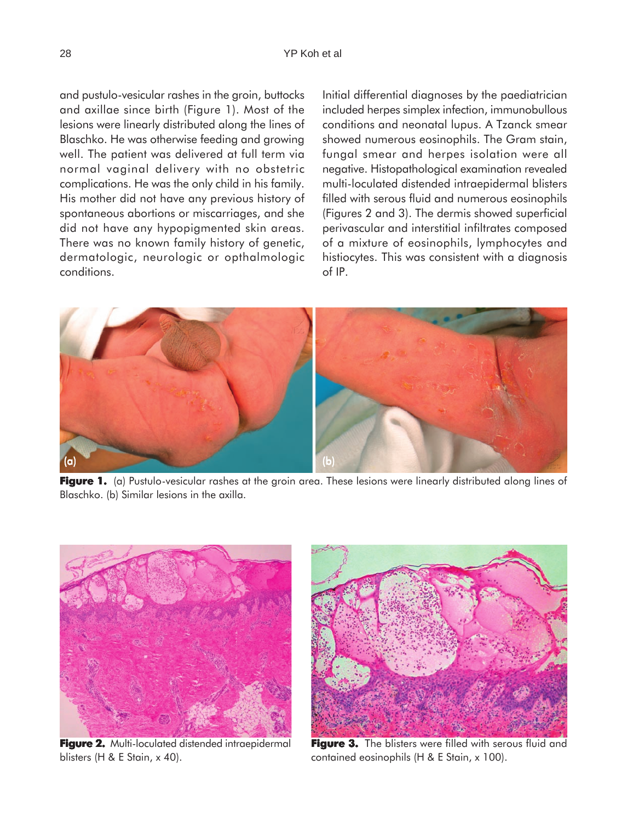and pustulo-vesicular rashes in the groin, buttocks and axillae since birth (Figure 1). Most of the lesions were linearly distributed along the lines of Blaschko. He was otherwise feeding and growing well. The patient was delivered at full term via normal vaginal delivery with no obstetric complications. He was the only child in his family. His mother did not have any previous history of spontaneous abortions or miscarriages, and she did not have any hypopigmented skin areas. There was no known family history of genetic, dermatologic, neurologic or opthalmologic conditions.

Initial differential diagnoses by the paediatrician included herpes simplex infection, immunobullous conditions and neonatal lupus. A Tzanck smear showed numerous eosinophils. The Gram stain, fungal smear and herpes isolation were all negative. Histopathological examination revealed multi-loculated distended intraepidermal blisters filled with serous fluid and numerous eosinophils (Figures 2 and 3). The dermis showed superficial perivascular and interstitial infiltrates composed of a mixture of eosinophils, lymphocytes and histiocytes. This was consistent with a diagnosis of IP.



**Figure 1.** (a) Pustulo-vesicular rashes at the groin area. These lesions were linearly distributed along lines of Blaschko. (b) Similar lesions in the axilla.



**Figure 2.** Multi-loculated distended intraepidermal blisters (H & E Stain, x 40).



**Figure 3. Figure 3.** The blisters were filled with serous fluid and contained eosinophils (H & E Stain, x 100).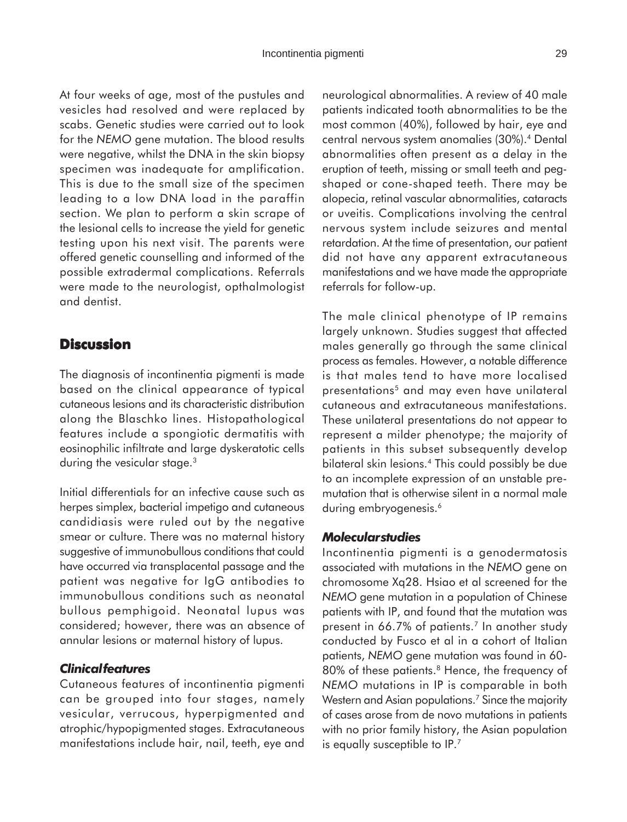At four weeks of age, most of the pustules and vesicles had resolved and were replaced by scabs. Genetic studies were carried out to look for the *NEMO* gene mutation. The blood results were negative, whilst the DNA in the skin biopsy specimen was inadequate for amplification. This is due to the small size of the specimen leading to a low DNA load in the paraffin section. We plan to perform a skin scrape of the lesional cells to increase the yield for genetic testing upon his next visit. The parents were offered genetic counselling and informed of the possible extradermal complications. Referrals were made to the neurologist, opthalmologist and dentist.

## **Discussion**

The diagnosis of incontinentia pigmenti is made based on the clinical appearance of typical cutaneous lesions and its characteristic distribution along the Blaschko lines. Histopathological features include a spongiotic dermatitis with eosinophilic infiltrate and large dyskeratotic cells during the vesicular stage.<sup>3</sup>

Initial differentials for an infective cause such as herpes simplex, bacterial impetigo and cutaneous candidiasis were ruled out by the negative smear or culture. There was no maternal history suggestive of immunobullous conditions that could have occurred via transplacental passage and the patient was negative for IgG antibodies to immunobullous conditions such as neonatal bullous pemphigoid. Neonatal lupus was considered; however, there was an absence of annular lesions or maternal history of lupus.

#### *Clinical features*

Cutaneous features of incontinentia pigmenti can be grouped into four stages, namely vesicular, verrucous, hyperpigmented and atrophic/hypopigmented stages. Extracutaneous manifestations include hair, nail, teeth, eye and neurological abnormalities. A review of 40 male patients indicated tooth abnormalities to be the most common (40%), followed by hair, eye and central nervous system anomalies (30%).4 Dental abnormalities often present as a delay in the eruption of teeth, missing or small teeth and pegshaped or cone-shaped teeth. There may be alopecia, retinal vascular abnormalities, cataracts or uveitis. Complications involving the central nervous system include seizures and mental retardation. At the time of presentation, our patient did not have any apparent extracutaneous manifestations and we have made the appropriate referrals for follow-up.

The male clinical phenotype of IP remains largely unknown. Studies suggest that affected males generally go through the same clinical process as females. However, a notable difference is that males tend to have more localised presentations<sup>5</sup> and may even have unilateral cutaneous and extracutaneous manifestations. These unilateral presentations do not appear to represent a milder phenotype; the majority of patients in this subset subsequently develop bilateral skin lesions.4 This could possibly be due to an incomplete expression of an unstable premutation that is otherwise silent in a normal male during embryogenesis.<sup>6</sup>

### *Molecular studies*

Incontinentia pigmenti is a genodermatosis associated with mutations in the *NEMO* gene on chromosome Xq28. Hsiao et al screened for the *NEMO* gene mutation in a population of Chinese patients with IP, and found that the mutation was present in 66.7% of patients.<sup>7</sup> In another study conducted by Fusco et al in a cohort of Italian patients, *NEMO* gene mutation was found in 60- 80% of these patients.<sup>8</sup> Hence, the frequency of *NEMO* mutations in IP is comparable in both Western and Asian populations.<sup>7</sup> Since the majority of cases arose from de novo mutations in patients with no prior family history, the Asian population is equally susceptible to IP.7